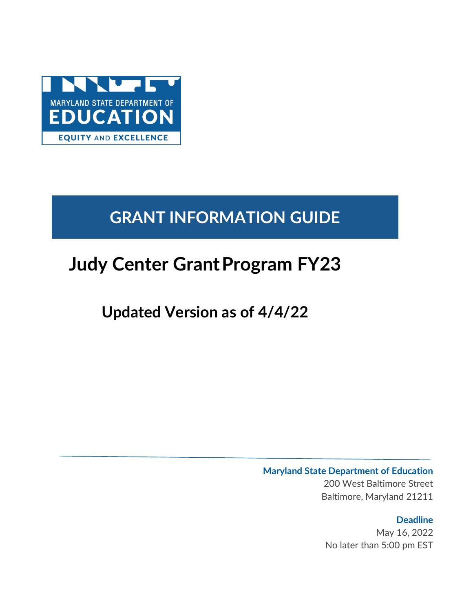

# **GRANT INFORMATION GUIDE**

# **Judy Center GrantProgram FY23**

# **Updated Version as of 4/4/22**

# **Maryland State Department of Education**

200 West Baltimore Street Baltimore, Maryland 21211

# **Deadline**

May 16, 2022 No later than 5:00 pm EST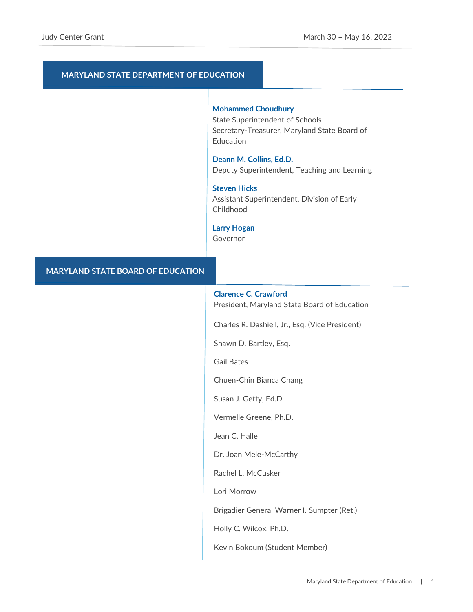# **MARYLAND STATE DEPARTMENT OF EDUCATION**

#### **Mohammed Choudhury**

State Superintendent of Schools Secretary-Treasurer, Maryland State Board of Education

**Deann M. Collins, Ed.D.**  Deputy Superintendent, Teaching and Learning

#### **Steven Hicks**

Assistant Superintendent, Division of Early Childhood

### **Larry Hogan**

Governor

## **MARYLAND STATE BOARD OF EDUCATION**

### **Clarence C. Crawford**

President, Maryland State Board of Education

Charles R. Dashiell, Jr., Esq. (Vice President)

Shawn D. Bartley, Esq.

Gail Bates

Chuen-Chin Bianca Chang

Susan J. Getty, Ed.D.

Vermelle Greene, Ph.D.

Jean C. Halle

Dr. Joan Mele-McCarthy

Rachel L. McCusker

Lori Morrow

Brigadier General Warner I. Sumpter (Ret.)

Holly C. Wilcox, Ph.D.

Kevin Bokoum (Student Member)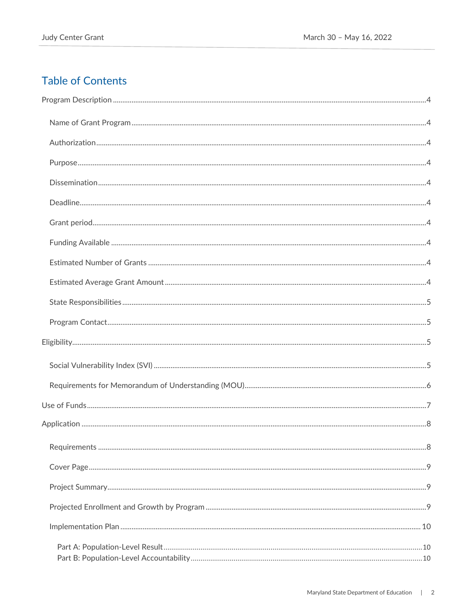# **Table of Contents**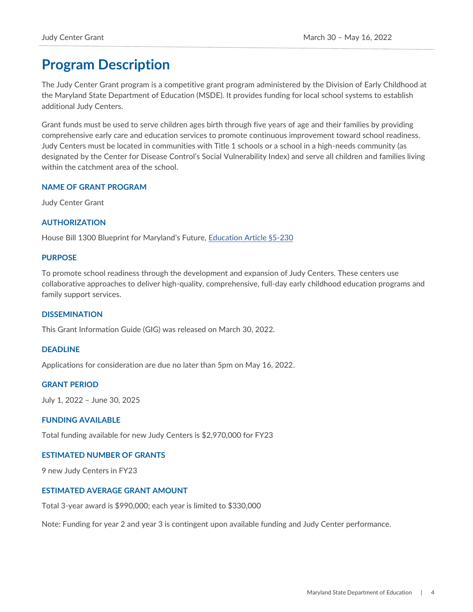# <span id="page-4-0"></span>**Program Description**

The Judy Center Grant program is a competitive grant program administered by the Division of Early Childhood at the Maryland State Department of Education (MSDE). It provides funding for local school systems to establish additional Judy Centers.

Grant funds must be used to serve children ages birth through five years of age and their families by providing comprehensive early care and education services to promote continuous improvement toward school readiness. Judy Centers must be located in communities with Title 1 schools or a school in a high-needs community (as designated by the Center for Disease Control's Social Vulnerability Index) and serve all children and families living within the catchment area of the school.

# <span id="page-4-1"></span>**NAME OF GRANT PROGRAM**

Judy Center Grant

## <span id="page-4-2"></span>**AUTHORIZATION**

House Bill 1300 Blueprint for Maryland's Future, [Education Article §5-230](https://mgaleg.maryland.gov/mgawebsite/Laws/StatuteText?article=ged§ion=5-230&enactments=false)

### <span id="page-4-3"></span>**PURPOSE**

To promote school readiness through the development and expansion of Judy Centers. These centers use collaborative approaches to deliver high-quality, comprehensive, full-day early childhood education programs and family support services.

### <span id="page-4-4"></span>**DISSEMINATION**

This Grant Information Guide (GIG) was released on March 30, 2022.

### <span id="page-4-5"></span>**DEADLINE**

Applications for consideration are due no later than 5pm on May 16, 2022.

#### <span id="page-4-6"></span>**GRANT PERIOD**

July 1, 2022 – June 30, 2025

### <span id="page-4-7"></span>**FUNDING AVAILABLE**

Total funding available for new Judy Centers is \$2,970,000 for FY23

#### <span id="page-4-8"></span>**ESTIMATED NUMBER OF GRANTS**

9 new Judy Centers in FY23

### <span id="page-4-9"></span>**ESTIMATED AVERAGE GRANT AMOUNT**

Total 3-year award is \$990,000; each year is limited to \$330,000

Note: Funding for year 2 and year 3 is contingent upon available funding and Judy Center performance.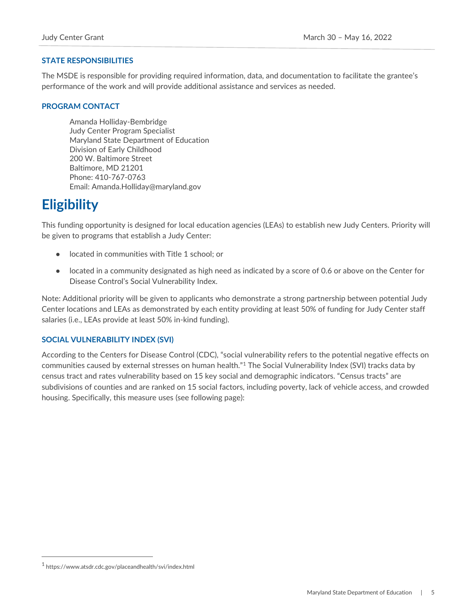# <span id="page-5-0"></span>**STATE RESPONSIBILITIES**

The MSDE is responsible for providing required information, data, and documentation to facilitate the grantee's performance of the work and will provide additional assistance and services as needed.

# <span id="page-5-1"></span>**PROGRAM CONTACT**

Amanda Holliday-Bembridge Judy Center Program Specialist Maryland State Department of Education Division of Early Childhood 200 W. Baltimore Street Baltimore, MD 21201 Phone: 410-767-0763 Email: Amanda.Holliday@maryland.gov

# <span id="page-5-2"></span>**Eligibility**

This funding opportunity is designed for local education agencies (LEAs) to establish new Judy Centers. Priority will be given to programs that establish a Judy Center:

- located in communities with Title 1 school; or
- located in a community designated as high need as indicated by a score of 0.6 or above on the Center for Disease Control's Social Vulnerability Index.

Note: Additional priority will be given to applicants who demonstrate a strong partnership between potential Judy Center locations and LEAs as demonstrated by each entity providing at least 50% of funding for Judy Center staff salaries (i.e., LEAs provide at least 50% in-kind funding).

# <span id="page-5-3"></span>**SOCIAL VULNERABILITY INDEX (SVI)**

According to the Centers for Disease Control (CDC), "social vulnerability refers to the potential negative effects on communities caused by external stresses on human health."<sup>1</sup> The Social Vulnerability Index (SVI) tracks data by census tract and rates vulnerability based on 15 key social and demographic indicators. "Census tracts" are subdivisions of counties and are ranked on 15 social factors, including poverty, lack of vehicle access, and crowded housing. Specifically, this measure uses (see following page):

<sup>1</sup> https://www.atsdr.cdc.gov/placeandhealth/svi/index.html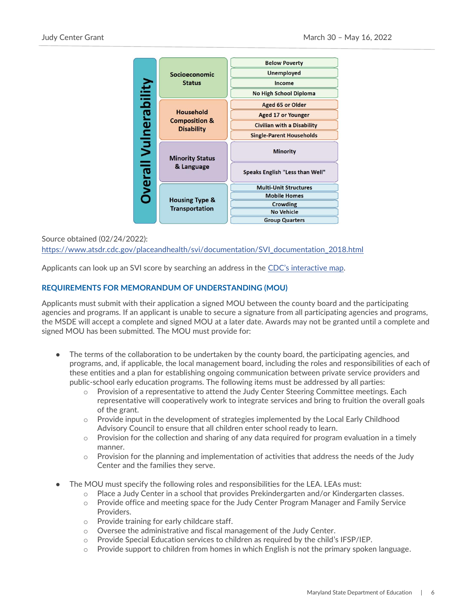

# Source obtained (02/24/2022): [https://www.atsdr.cdc.gov/placeandhealth/svi/documentation/SVI\\_documentation\\_2018.html](https://www.atsdr.cdc.gov/placeandhealth/svi/documentation/SVI_documentation_2018.html)

Applicants can look up an SVI score by searching an address in the [CDC's interactive map](https://svi.cdc.gov/map.html).

## <span id="page-6-0"></span>**REQUIREMENTS FOR MEMORANDUM OF UNDERSTANDING (MOU)**

Applicants must submit with their application a signed MOU between the county board and the participating agencies and programs. If an applicant is unable to secure a signature from all participating agencies and programs, the MSDE will accept a complete and signed MOU at a later date. Awards may not be granted until a complete and signed MOU has been submitted. The MOU must provide for:

- The terms of the collaboration to be undertaken by the county board, the participating agencies, and programs, and, if applicable, the local management board, including the roles and responsibilities of each of these entities and a plan for establishing ongoing communication between private service providers and public-school early education programs. The following items must be addressed by all parties:
	- $\circ$  Provision of a representative to attend the Judy Center Steering Committee meetings. Each representative will cooperatively work to integrate services and bring to fruition the overall goals of the grant.
	- $\circ$  Provide input in the development of strategies implemented by the Local Early Childhood Advisory Council to ensure that all children enter school ready to learn.
	- $\circ$  Provision for the collection and sharing of any data required for program evaluation in a timely manner.
	- $\circ$  Provision for the planning and implementation of activities that address the needs of the Judy Center and the families they serve.
- The MOU must specify the following roles and responsibilities for the LEA. LEAs must:
	- o Place a Judy Center in a school that provides Prekindergarten and/or Kindergarten classes.
	- o Provide office and meeting space for the Judy Center Program Manager and Family Service Providers.
	- o Provide training for early childcare staff.
	- o Oversee the administrative and fiscal management of the Judy Center.
	- o Provide Special Education services to children as required by the child's IFSP/IEP.
	- $\circ$  Provide support to children from homes in which English is not the primary spoken language.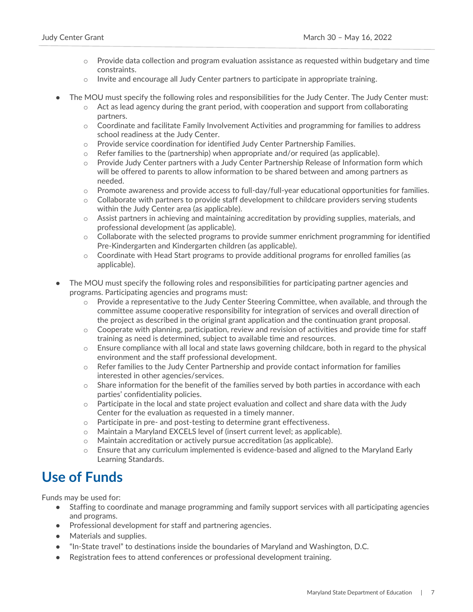- $\circ$  Provide data collection and program evaluation assistance as requested within budgetary and time constraints.
- $\circ$  Invite and encourage all Judy Center partners to participate in appropriate training.
- The MOU must specify the following roles and responsibilities for the Judy Center. The Judy Center must:
	- $\circ$  Act as lead agency during the grant period, with cooperation and support from collaborating partners.
	- o Coordinate and facilitate Family Involvement Activities and programming for families to address school readiness at the Judy Center.
	- o Provide service coordination for identified Judy Center Partnership Families.
	- $\circ$  Refer families to the (partnership) when appropriate and/or required (as applicable).
	- $\circ$  Provide Judy Center partners with a Judy Center Partnership Release of Information form which will be offered to parents to allow information to be shared between and among partners as needed.
	- o Promote awareness and provide access to full-day/full-year educational opportunities for families.
	- $\circ$  Collaborate with partners to provide staff development to childcare providers serving students within the Judy Center area (as applicable).
	- $\circ$  Assist partners in achieving and maintaining accreditation by providing supplies, materials, and professional development (as applicable).
	- $\circ$  Collaborate with the selected programs to provide summer enrichment programming for identified Pre-Kindergarten and Kindergarten children (as applicable).
	- o Coordinate with Head Start programs to provide additional programs for enrolled families (as applicable).
- The MOU must specify the following roles and responsibilities for participating partner agencies and programs. Participating agencies and programs must:
	- o Provide a representative to the Judy Center Steering Committee, when available, and through the committee assume cooperative responsibility for integration of services and overall direction of the project as described in the original grant application and the continuation grant proposal.
	- $\circ$  Cooperate with planning, participation, review and revision of activities and provide time for staff training as need is determined, subject to available time and resources.
	- $\circ$  Ensure compliance with all local and state laws governing childcare, both in regard to the physical environment and the staff professional development.
	- $\circ$  Refer families to the Judy Center Partnership and provide contact information for families interested in other agencies/services.
	- $\circ$  Share information for the benefit of the families served by both parties in accordance with each parties' confidentiality policies.
	- o Participate in the local and state project evaluation and collect and share data with the Judy Center for the evaluation as requested in a timely manner.
	- o Participate in pre- and post-testing to determine grant effectiveness.
	- $\circ$  Maintain a Maryland EXCELS level of (insert current level; as applicable).
	- o Maintain accreditation or actively pursue accreditation (as applicable).
	- o Ensure that any curriculum implemented is evidence-based and aligned to the Maryland Early Learning Standards.

# <span id="page-7-0"></span>**Use of Funds**

Funds may be used for:

- Staffing to coordinate and manage programming and family support services with all participating agencies and programs.
- Professional development for staff and partnering agencies.
- Materials and supplies.
- "In-State travel" to destinations inside the boundaries of Maryland and Washington, D.C.
- Registration fees to attend conferences or professional development training.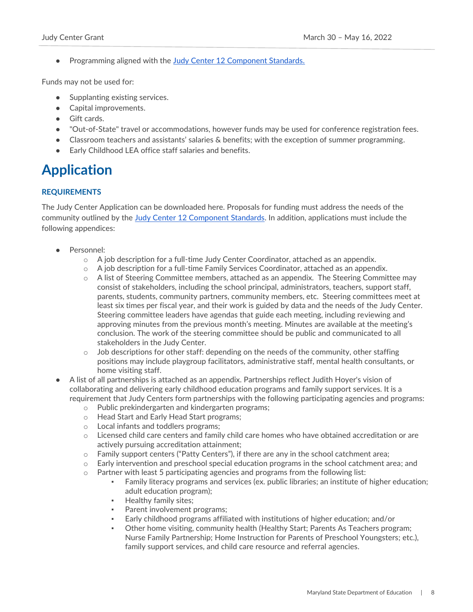● Programming aligned with the [Judy Center 12 Component Standards.](https://earlychildhood.marylandpublicschools.org/families/judy-centers/component-standards)

Funds may not be used for:

- Supplanting existing services.
- Capital improvements.
- Gift cards.
- "Out-of-State" travel or accommodations, however funds may be used for conference registration fees.
- Classroom teachers and assistants' salaries & benefits; with the exception of summer programming.
- Early Childhood LEA office staff salaries and benefits.

# <span id="page-8-0"></span>**Application**

# <span id="page-8-1"></span>**REQUIREMENTS**

The Judy Center Application can be downloaded here. Proposals for funding must address the needs of the community outlined by the [Judy Center 12 Component Standards.](https://earlychildhood.marylandpublicschools.org/system/files/filedepot/2/jc_standards_6_27_18.pdf) In addition, applications must include the following appendices:

- Personnel:
	- $\circ$  A job description for a full-time Judy Center Coordinator, attached as an appendix.
	- $\circ$  A job description for a full-time Family Services Coordinator, attached as an appendix.
	- $\circ$  A list of Steering Committee members, attached as an appendix. The Steering Committee may consist of stakeholders, including the school principal, administrators, teachers, support staff, parents, students, community partners, community members, etc. Steering committees meet at least six times per fiscal year, and their work is guided by data and the needs of the Judy Center. Steering committee leaders have agendas that guide each meeting, including reviewing and approving minutes from the previous month's meeting. Minutes are available at the meeting's conclusion. The work of the steering committee should be public and communicated to all stakeholders in the Judy Center.
	- $\circ$  Job descriptions for other staff: depending on the needs of the community, other staffing positions may include playgroup facilitators, administrative staff, mental health consultants, or home visiting staff.
- A list of all partnerships is attached as an appendix. Partnerships reflect Judith Hoyer's vision of collaborating and delivering early childhood education programs and family support services. It is a requirement that Judy Centers form partnerships with the following participating agencies and programs:
	- o Public prekindergarten and kindergarten programs;
	- o Head Start and Early Head Start programs;
	- o Local infants and toddlers programs;
	- $\circ$  Licensed child care centers and family child care homes who have obtained accreditation or are actively pursuing accreditation attainment;
	- o Family support centers ("Patty Centers"), if there are any in the school catchment area;
	- o Early intervention and preschool special education programs in the school catchment area; and
	- $\circ$  Partner with least 5 participating agencies and programs from the following list:
		- **•** Family literacy programs and services (ex. public libraries; an institute of higher education; adult education program);
		- Healthy family sites;
		- Parent involvement programs;
		- Early childhood programs affiliated with institutions of higher education; and/or
		- Other home visiting, community health (Healthy Start; Parents As Teachers program; Nurse Family Partnership; Home Instruction for Parents of Preschool Youngsters; etc.), family support services, and child care resource and referral agencies.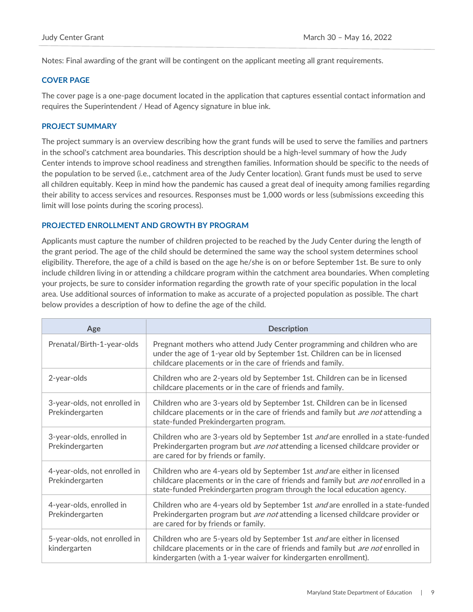Notes: Final awarding of the grant will be contingent on the applicant meeting all grant requirements.

## <span id="page-9-0"></span>**COVER PAGE**

The cover page is a one-page document located in the application that captures essential contact information and requires the Superintendent / Head of Agency signature in blue ink.

### <span id="page-9-1"></span>**PROJECT SUMMARY**

The project summary is an overview describing how the grant funds will be used to serve the families and partners in the school's catchment area boundaries. This description should be a high-level summary of how the Judy Center intends to improve school readiness and strengthen families. Information should be specific to the needs of the population to be served (i.e., catchment area of the Judy Center location). Grant funds must be used to serve all children equitably. Keep in mind how the pandemic has caused a great deal of inequity among families regarding their ability to access services and resources. Responses must be 1,000 words or less (submissions exceeding this limit will lose points during the scoring process).

## <span id="page-9-2"></span>**PROJECTED ENROLLMENT AND GROWTH BY PROGRAM**

Applicants must capture the number of children projected to be reached by the Judy Center during the length of the grant period. The age of the child should be determined the same way the school system determines school eligibility. Therefore, the age of a child is based on the age he/she is on or before September 1st. Be sure to only include children living in or attending a childcare program within the catchment area boundaries. When completing your projects, be sure to consider information regarding the growth rate of your specific population in the local area. Use additional sources of information to make as accurate of a projected population as possible. The chart below provides a description of how to define the age of the child.

| Age                                             | <b>Description</b>                                                                                                                                                                                                                          |
|-------------------------------------------------|---------------------------------------------------------------------------------------------------------------------------------------------------------------------------------------------------------------------------------------------|
| Prenatal/Birth-1-year-olds                      | Pregnant mothers who attend Judy Center programming and children who are<br>under the age of 1-year old by September 1st. Children can be in licensed<br>childcare placements or in the care of friends and family.                         |
| 2-year-olds                                     | Children who are 2-years old by September 1st. Children can be in licensed<br>childcare placements or in the care of friends and family.                                                                                                    |
| 3-year-olds, not enrolled in<br>Prekindergarten | Children who are 3-years old by September 1st. Children can be in licensed<br>childcare placements or in the care of friends and family but are not attending a<br>state-funded Prekindergarten program.                                    |
| 3-year-olds, enrolled in<br>Prekindergarten     | Children who are 3-years old by September 1st and are enrolled in a state-funded<br>Prekindergarten program but are not attending a licensed childcare provider or<br>are cared for by friends or family.                                   |
| 4-year-olds, not enrolled in<br>Prekindergarten | Children who are 4-years old by September 1st and are either in licensed<br>childcare placements or in the care of friends and family but are not enrolled in a<br>state-funded Prekindergarten program through the local education agency. |
| 4-year-olds, enrolled in<br>Prekindergarten     | Children who are 4-years old by September 1st and are enrolled in a state-funded<br>Prekindergarten program but are not attending a licensed childcare provider or<br>are cared for by friends or family.                                   |
| 5-year-olds, not enrolled in<br>kindergarten    | Children who are 5-years old by September 1st and are either in licensed<br>childcare placements or in the care of friends and family but <i>are not</i> enrolled in<br>kindergarten (with a 1-year waiver for kindergarten enrollment).    |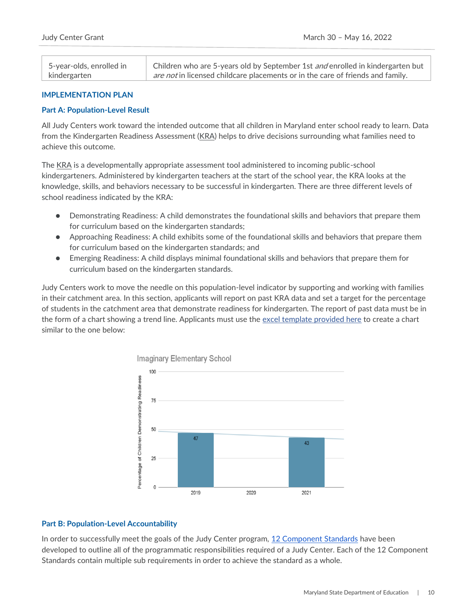| 5-year-olds, enrolled in | Children who are 5-years old by September 1st and enrolled in kindergarten but        |
|--------------------------|---------------------------------------------------------------------------------------|
| kindergarten             | <i>are not</i> in licensed childcare placements or in the care of friends and family. |

# <span id="page-10-0"></span>**IMPLEMENTATION PLAN**

## <span id="page-10-1"></span>**Part A: Population-Level Result**

All Judy Centers work toward the intended outcome that all children in Maryland enter school ready to learn. Data from the Kindergarten Readiness Assessment [\(KRA\)](https://earlychildhood.marylandpublicschools.org/prek-grade-2/maryland-early-learning-framework/ready-4-kindergarten#:~:text=Ready%20for%20Kindergarten%20(R4K)%20is,to%20be%20successful%20in%20school.) helps to drive decisions surrounding what families need to achieve this outcome.

The [KRA](https://earlychildhood.marylandpublicschools.org/prek-grade-2/maryland-early-learning-framework/ready-4-kindergarten#:~:text=Ready%20for%20Kindergarten%20(R4K)%20is,to%20be%20successful%20in%20school.) is a developmentally appropriate assessment tool administered to incoming public-school kindergarteners. Administered by kindergarten teachers at the start of the school year, the KRA looks at the knowledge, skills, and behaviors necessary to be successful in kindergarten. There are three different levels of school readiness indicated by the KRA:

- Demonstrating Readiness: A child demonstrates the foundational skills and behaviors that prepare them for curriculum based on the kindergarten standards;
- Approaching Readiness: A child exhibits some of the foundational skills and behaviors that prepare them for curriculum based on the kindergarten standards; and
- Emerging Readiness: A child displays minimal foundational skills and behaviors that prepare them for curriculum based on the kindergarten standards.

Judy Centers work to move the needle on this population-level indicator by supporting and working with families in their catchment area. In this section, applicants will report on past KRA data and set a target for the percentage of students in the catchment area that demonstrate readiness for kindergarten. The report of past data must be in the form of a chart showing a trend line. Applicants must use the [excel template provided here](https://earlychildhood.marylandpublicschools.org/system/files/filedepot/3/kra_data_chart.xlsx) to create a chart similar to the one below:



### <span id="page-10-2"></span>**Part B: Population-Level Accountability**

In order to successfully meet the goals of the Judy Center program, [12 Component Standards](https://earlychildhood.marylandpublicschools.org/families/judy-centers/component-standards) have been developed to outline all of the programmatic responsibilities required of a Judy Center. Each of the 12 Component Standards contain multiple sub requirements in order to achieve the standard as a whole.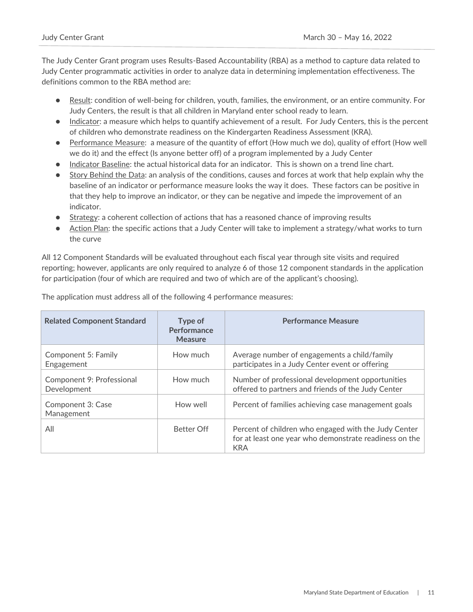The Judy Center Grant program uses Results-Based Accountability (RBA) as a method to capture data related to Judy Center programmatic activities in order to analyze data in determining implementation effectiveness. The definitions common to the RBA method are:

- Result: condition of well-being for children, youth, families, the environment, or an entire community. For Judy Centers, the result is that all children in Maryland enter school ready to learn.
- Indicator: a measure which helps to quantify achievement of a result. For Judy Centers, this is the percent of children who demonstrate readiness on the Kindergarten Readiness Assessment (KRA).
- Performance Measure: a measure of the quantity of effort (How much we do), quality of effort (How well we do it) and the effect (Is anyone better off) of a program implemented by a Judy Center
- Indicator Baseline: the actual historical data for an indicator. This is shown on a trend line chart.
- Story Behind the Data: an analysis of the conditions, causes and forces at work that help explain why the baseline of an indicator or performance measure looks the way it does. These factors can be positive in that they help to improve an indicator, or they can be negative and impede the improvement of an indicator.
- Strategy: a coherent collection of actions that has a reasoned chance of improving results
- Action Plan: the specific actions that a Judy Center will take to implement a strategy/what works to turn the curve

All 12 Component Standards will be evaluated throughout each fiscal year through site visits and required reporting; however, applicants are only required to analyze 6 of those 12 component standards in the application for participation (four of which are required and two of which are of the applicant's choosing).

| <b>Related Component Standard</b>        | Type of<br>Performance<br><b>Measure</b> | <b>Performance Measure</b>                                                                                                   |
|------------------------------------------|------------------------------------------|------------------------------------------------------------------------------------------------------------------------------|
| Component 5: Family<br>Engagement        | How much                                 | Average number of engagements a child/family<br>participates in a Judy Center event or offering                              |
| Component 9: Professional<br>Development | How much                                 | Number of professional development opportunities<br>offered to partners and friends of the Judy Center                       |
| Component 3: Case<br>Management          | How well                                 | Percent of families achieving case management goals                                                                          |
| All                                      | <b>Better Off</b>                        | Percent of children who engaged with the Judy Center<br>for at least one year who demonstrate readiness on the<br><b>KRA</b> |

The application must address all of the following 4 performance measures: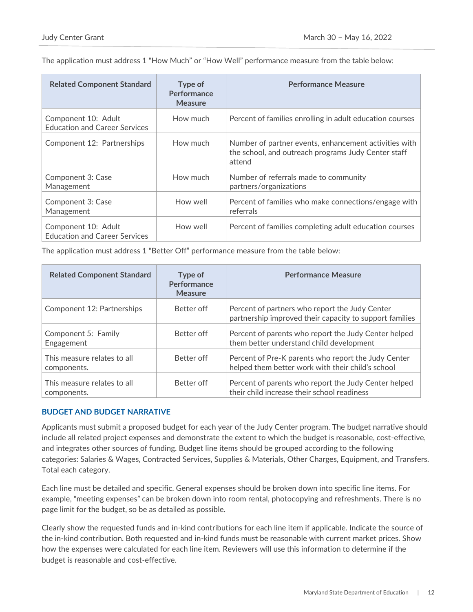The application must address 1 "How Much" or "How Well" performance measure from the table below:

| <b>Related Component Standard</b>                           | Type of<br>Performance<br><b>Measure</b> | <b>Performance Measure</b>                                                                                             |
|-------------------------------------------------------------|------------------------------------------|------------------------------------------------------------------------------------------------------------------------|
| Component 10: Adult<br><b>Education and Career Services</b> | How much                                 | Percent of families enrolling in adult education courses                                                               |
| Component 12: Partnerships                                  | How much                                 | Number of partner events, enhancement activities with<br>the school, and outreach programs Judy Center staff<br>attend |
| Component 3: Case<br>Management                             | How much                                 | Number of referrals made to community<br>partners/organizations                                                        |
| Component 3: Case<br>Management                             | How well                                 | Percent of families who make connections/engage with<br>referrals                                                      |
| Component 10: Adult<br><b>Education and Career Services</b> | How well                                 | Percent of families completing adult education courses                                                                 |

The application must address 1 "Better Off" performance measure from the table below:

| <b>Related Component Standard</b>          | Type of<br>Performance<br><b>Measure</b> | <b>Performance Measure</b>                                                                                |
|--------------------------------------------|------------------------------------------|-----------------------------------------------------------------------------------------------------------|
| Component 12: Partnerships                 | Better off                               | Percent of partners who report the Judy Center<br>partnership improved their capacity to support families |
| Component 5: Family<br>Engagement          | Better off                               | Percent of parents who report the Judy Center helped<br>them better understand child development          |
| This measure relates to all<br>components. | Better off                               | Percent of Pre-K parents who report the Judy Center<br>helped them better work with their child's school  |
| This measure relates to all<br>components. | Better off                               | Percent of parents who report the Judy Center helped<br>their child increase their school readiness       |

# <span id="page-12-0"></span>**BUDGET AND BUDGET NARRATIVE**

Applicants must submit a proposed budget for each year of the Judy Center program. The budget narrative should include all related project expenses and demonstrate the extent to which the budget is reasonable, cost-effective, and integrates other sources of funding. Budget line items should be grouped according to the following categories: Salaries & Wages, Contracted Services, Supplies & Materials, Other Charges, Equipment, and Transfers. Total each category.

Each line must be detailed and specific. General expenses should be broken down into specific line items. For example, "meeting expenses" can be broken down into room rental, photocopying and refreshments. There is no page limit for the budget, so be as detailed as possible.

Clearly show the requested funds and in-kind contributions for each line item if applicable. Indicate the source of the in-kind contribution. Both requested and in-kind funds must be reasonable with current market prices. Show how the expenses were calculated for each line item. Reviewers will use this information to determine if the budget is reasonable and cost-effective.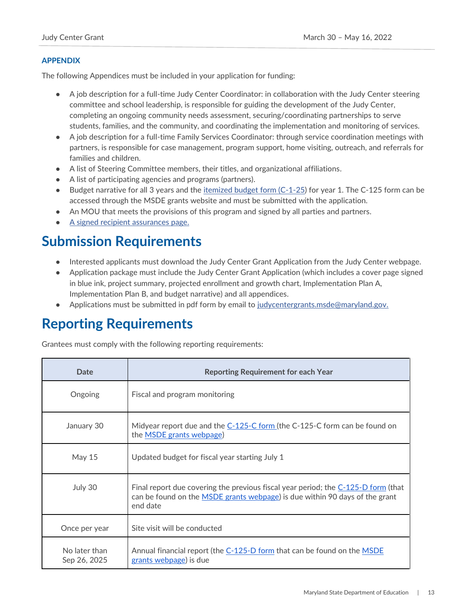# <span id="page-13-0"></span>**APPENDIX**

The following Appendices must be included in your application for funding:

- A job description for a full-time Judy Center Coordinator: in collaboration with the Judy Center steering committee and school leadership, is responsible for guiding the development of the Judy Center, completing an ongoing community needs assessment, securing/coordinating partnerships to serve students, families, and the community, and coordinating the implementation and monitoring of services.
- A job description for a full-time Family Services Coordinator: through service coordination meetings with partners, is responsible for case management, program support, home visiting, outreach, and referrals for families and children.
- A list of Steering Committee members, their titles, and organizational affiliations.
- A list of participating agencies and programs (partners).
- Budget narrative for all 3 years and the [itemized budget form \(C-1-25\)](https://marylandpublicschools.org/about/Documents/Grants/GrantForms-12-10-2020.xls) for year 1. The C-125 form can be accessed through the MSDE grants website and must be submitted with the application.
- An MOU that meets the provisions of this program and signed by all parties and partners.
- [A signed recipient assurances page.](https://www.marylandpublicschools.org/about/Documents/Grants/GrantRecipientAssurances.pdf)

# <span id="page-13-1"></span>**Submission Requirements**

- Interested applicants must download the Judy Center Grant Application from the Judy Center webpage.
- Application package must include the Judy Center Grant Application (which includes a cover page signed in blue ink, project summary, projected enrollment and growth chart, Implementation Plan A, Implementation Plan B, and budget narrative) and all appendices.
- Applications must be submitted in pdf form by email to [judycentergrants.msde@maryland.gov.](mailto:judycentergrants.msde@maryland.gov)

# <span id="page-13-2"></span>**Reporting Requirements**

Grantees must comply with the following reporting requirements:

| Date                          | <b>Reporting Requirement for each Year</b>                                                                                                                                   |
|-------------------------------|------------------------------------------------------------------------------------------------------------------------------------------------------------------------------|
| Ongoing                       | Fiscal and program monitoring                                                                                                                                                |
| January 30                    | Midyear report due and the C-125-C form (the C-125-C form can be found on<br>the <b>MSDE</b> grants webpage)                                                                 |
| May $15$                      | Updated budget for fiscal year starting July 1                                                                                                                               |
| July 30                       | Final report due covering the previous fiscal year period; the C-125-D form (that<br>can be found on the MSDE grants webpage) is due within 90 days of the grant<br>end date |
| Once per year                 | Site visit will be conducted                                                                                                                                                 |
| No later than<br>Sep 26, 2025 | Annual financial report (the C-125-D form that can be found on the MSDE<br>grants webpage) is due                                                                            |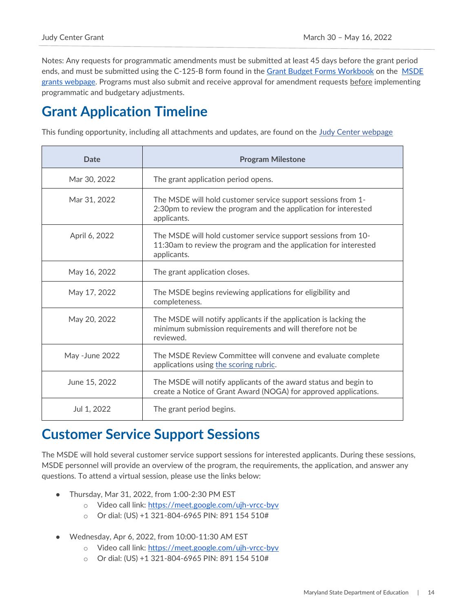Notes: Any requests for programmatic amendments must be submitted at least 45 days before the grant period ends, and must be submitted using the C-125-B form found in the [Grant Budget Forms Workbook](https://marylandpublicschools.org/about/Pages/Grants/BudgetInfo.aspx) on the [MSDE](https://www.marylandpublicschools.org/about/Pages/Grants/Forms.aspx)  [grants webpage.](https://www.marylandpublicschools.org/about/Pages/Grants/Forms.aspx) Programs must also submit and receive approval for amendment requests before implementing programmatic and budgetary adjustments.

# <span id="page-14-0"></span>**Grant Application Timeline**

This funding opportunity, including all attachments and updates, are found on the [Judy Center webpage](https://earlychildhood.marylandpublicschools.org/families/judy-centers)

| Date           | <b>Program Milestone</b>                                                                                                                         |
|----------------|--------------------------------------------------------------------------------------------------------------------------------------------------|
| Mar 30, 2022   | The grant application period opens.                                                                                                              |
| Mar 31, 2022   | The MSDE will hold customer service support sessions from 1-<br>2:30pm to review the program and the application for interested<br>applicants.   |
| April 6, 2022  | The MSDE will hold customer service support sessions from 10-<br>11:30am to review the program and the application for interested<br>applicants. |
| May 16, 2022   | The grant application closes.                                                                                                                    |
| May 17, 2022   | The MSDE begins reviewing applications for eligibility and<br>completeness.                                                                      |
| May 20, 2022   | The MSDE will notify applicants if the application is lacking the<br>minimum submission requirements and will therefore not be<br>reviewed.      |
| May -June 2022 | The MSDE Review Committee will convene and evaluate complete<br>applications using the scoring rubric.                                           |
| June 15, 2022  | The MSDE will notify applicants of the award status and begin to<br>create a Notice of Grant Award (NOGA) for approved applications.             |
| Jul 1, 2022    | The grant period begins.                                                                                                                         |

# <span id="page-14-1"></span>**Customer Service Support Sessions**

The MSDE will hold several customer service support sessions for interested applicants. During these sessions, MSDE personnel will provide an overview of the program, the requirements, the application, and answer any questions. To attend a virtual session, please use the links below:

- Thursday, Mar 31, 2022, from 1:00-2:30 PM EST
	- o Video call link:<https://meet.google.com/ujh-vrcc-byv>
	- o Or dial: (US) +1 321-804-6965 PIN: 891 154 510#
- Wednesday, Apr 6, 2022, from 10:00-11:30 AM EST
	- o Video call link:<https://meet.google.com/ujh-vrcc-byv>
	- o Or dial: (US) +1 321-804-6965 PIN: 891 154 510#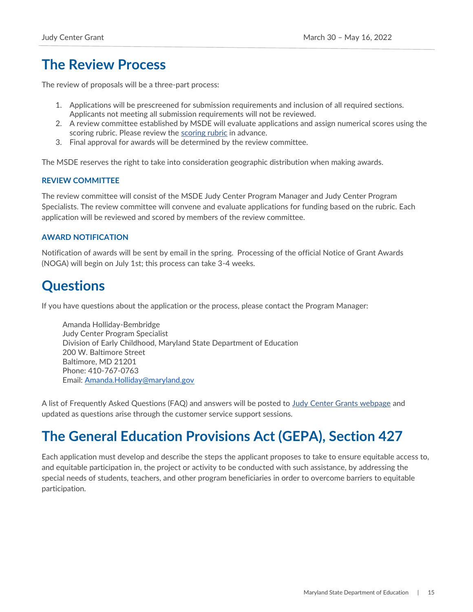# <span id="page-15-0"></span>**The Review Process**

The review of proposals will be a three-part process:

- 1. Applications will be prescreened for submission requirements and inclusion of all required sections. Applicants not meeting all submission requirements will not be reviewed.
- 2. A review committee established by MSDE will evaluate applications and assign numerical scores using the scoring rubric. Please review the [scoring rubric](https://earlychildhood.marylandpublicschools.org/system/files/filedepot/3/judy_center_scoring_rubric.pdf) in advance.
- 3. Final approval for awards will be determined by the review committee.

The MSDE reserves the right to take into consideration geographic distribution when making awards.

## <span id="page-15-1"></span>**REVIEW COMMITTEE**

The review committee will consist of the MSDE Judy Center Program Manager and Judy Center Program Specialists. The review committee will convene and evaluate applications for funding based on the rubric. Each application will be reviewed and scored by members of the review committee.

## <span id="page-15-2"></span>**AWARD NOTIFICATION**

Notification of awards will be sent by email in the spring. Processing of the official Notice of Grant Awards (NOGA) will begin on July 1st; this process can take 3-4 weeks.

# <span id="page-15-3"></span>**Questions**

If you have questions about the application or the process, please contact the Program Manager:

Amanda Holliday-Bembridge Judy Center Program Specialist Division of Early Childhood, Maryland State Department of Education 200 W. Baltimore Street Baltimore, MD 21201 Phone: 410-767-0763 Email: [Amanda.Holliday@maryland.gov](mailto:Amanda.Holliday@maryland.gov)

A list of Frequently Asked Questions (FAQ) and answers will be posted to [Judy Center Grants webpage](https://earlychildhood.marylandpublicschools.org/families/judy-centers) and updated as questions arise through the customer service support sessions.

# <span id="page-15-4"></span>**The General Education Provisions Act (GEPA), Section 427**

Each application must develop and describe the steps the applicant proposes to take to ensure equitable access to, and equitable participation in, the project or activity to be conducted with such assistance, by addressing the special needs of students, teachers, and other program beneficiaries in order to overcome barriers to equitable participation.